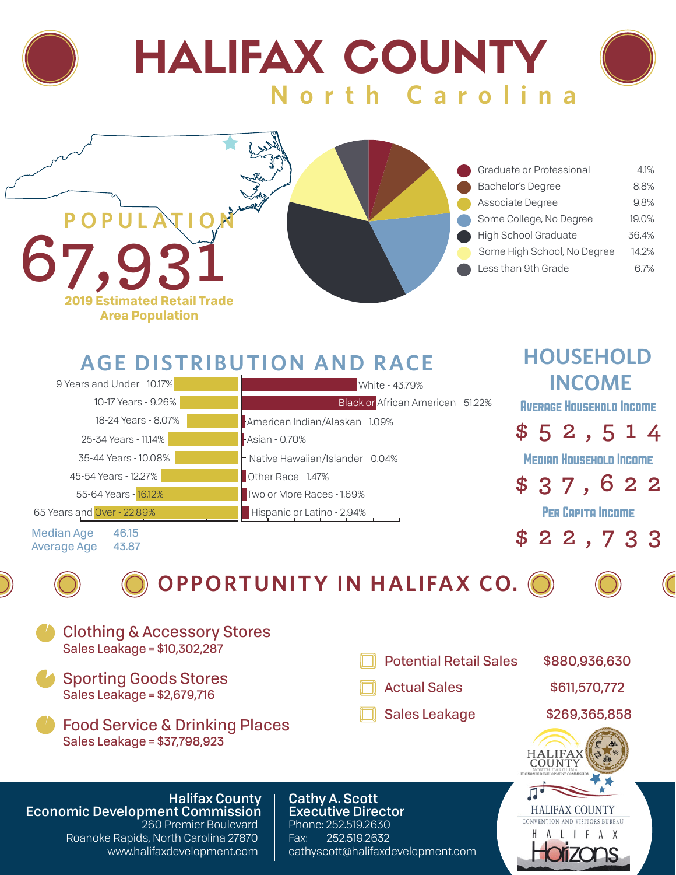



## **AGE DISTRIBUTION AND RACE**

| 9 Years and Under - 10.17%       | White - 43.79%                     | <b>INCOME</b>                   |
|----------------------------------|------------------------------------|---------------------------------|
| 10-17 Years - 9.26%              | Black or African American - 51.22% | <b>AVERAGE HOUSEHOLD INCOME</b> |
| 18-24 Years - 8.07%              | American Indian/Alaskan - 1.09%    |                                 |
| 25-34 Years - 11.14%             | <b>-Asian - 0.70%</b>              | \$52,514                        |
| 35-44 Years - 10.08%             | - Native Hawaiian/Islander - 0.04% | <b>MEDIAN HOUSEHOLD INCOME</b>  |
| 45-54 Years - 12.27%             | Other Race - 1.47%                 | \$37,622                        |
| 55-64 Years - 16.12%             | Two or More Races - 1.69%          |                                 |
| 65 Years and Over - 22.89%       | Hispanic or Latino - 2.94%         | <b>PER CAPITA INCOME</b>        |
| Median Age<br>46.15<br>$\Lambda$ |                                    | \$22,733                        |

**Median Age** Average Age 43.87



**OPPORTUNITY IN HALIFAX CO.**









A X

**HOUSEHOLD**



260 Premier Boulevard Roanoke Rapids, North Carolina 27870 www.halifaxdevelopment.com Phone: 252.519.2630 Fax: 252.519.2632 cathyscott@halifaxdevelopment.com